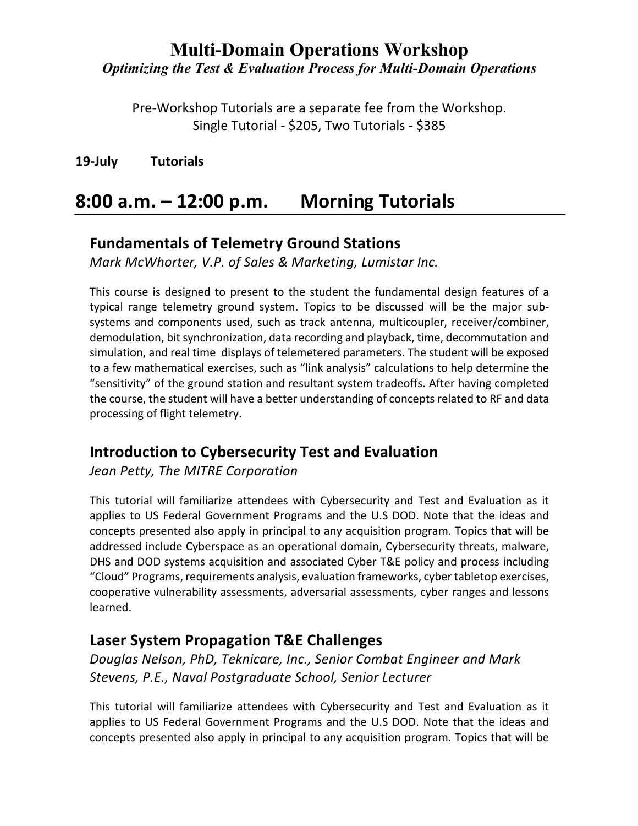Pre-Workshop Tutorials are a separate fee from the Workshop. Single Tutorial - \$205, Two Tutorials - \$385

**19-July Tutorials**

# **8:00 a.m. – 12:00 p.m. Morning Tutorials**

### **Fundamentals of Telemetry Ground Stations**

*Mark McWhorter, V.P. of Sales & Marketing, Lumistar Inc.*

This course is designed to present to the student the fundamental design features of a typical range telemetry ground system. Topics to be discussed will be the major subsystems and components used, such as track antenna, multicoupler, receiver/combiner, demodulation, bit synchronization, data recording and playback, time, decommutation and simulation, and real time displays of telemetered parameters. The student will be exposed to a few mathematical exercises, such as "link analysis" calculations to help determine the "sensitivity" of the ground station and resultant system tradeoffs. After having completed the course, the student will have a better understanding of concepts related to RF and data processing of flight telemetry.

## **Introduction to Cybersecurity Test and Evaluation**

*Jean Petty, The MITRE Corporation*

This tutorial will familiarize attendees with Cybersecurity and Test and Evaluation as it applies to US Federal Government Programs and the U.S DOD. Note that the ideas and concepts presented also apply in principal to any acquisition program. Topics that will be addressed include Cyberspace as an operational domain, Cybersecurity threats, malware, DHS and DOD systems acquisition and associated Cyber T&E policy and process including "Cloud" Programs, requirements analysis, evaluation frameworks, cyber tabletop exercises, cooperative vulnerability assessments, adversarial assessments, cyber ranges and lessons learned.

## **Laser System Propagation T&E Challenges**

*Douglas Nelson, PhD, Teknicare, Inc., Senior Combat Engineer and Mark Stevens, P.E., Naval Postgraduate School, Senior Lecturer*

This tutorial will familiarize attendees with Cybersecurity and Test and Evaluation as it applies to US Federal Government Programs and the U.S DOD. Note that the ideas and concepts presented also apply in principal to any acquisition program. Topics that will be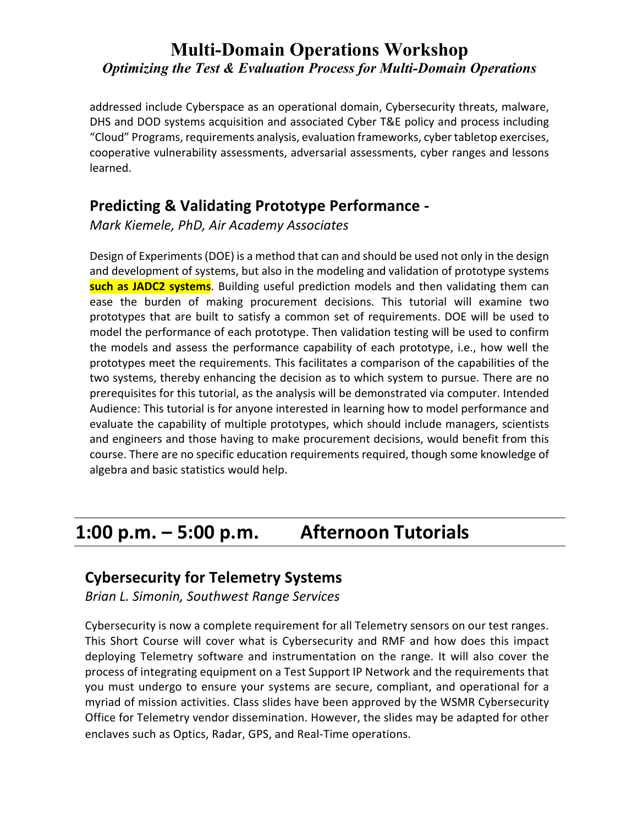addressed include Cyberspace as an operational domain, Cybersecurity threats, malware, DHS and DOD systems acquisition and associated Cyber T&E policy and process including "Cloud" Programs, requirements analysis, evaluation frameworks, cyber tabletop exercises, cooperative vulnerability assessments, adversarial assessments, cyber ranges and lessons learned.

### **Predicting & Validating Prototype Performance -**

*Mark Kiemele, PhD, Air Academy Associates*

Design of Experiments (DOE) is a method that can and should be used not only in the design and development of systems, but also in the modeling and validation of prototype systems **such as JADC2 systems**. Building useful prediction models and then validating them can ease the burden of making procurement decisions. This tutorial will examine two prototypes that are built to satisfy a common set of requirements. DOE will be used to model the performance of each prototype. Then validation testing will be used to confirm the models and assess the performance capability of each prototype, i.e., how well the prototypes meet the requirements. This facilitates a comparison of the capabilities of the two systems, thereby enhancing the decision as to which system to pursue. There are no prerequisites for this tutorial, as the analysis will be demonstrated via computer. Intended Audience: This tutorial is for anyone interested in learning how to model performance and evaluate the capability of multiple prototypes, which should include managers, scientists and engineers and those having to make procurement decisions, would benefit from this course. There are no specific education requirements required, though some knowledge of algebra and basic statistics would help.

# **1:00 p.m. – 5:00 p.m. Afternoon Tutorials**

#### **Cybersecurity for Telemetry Systems**

*Brian L. Simonin, Southwest Range Services*

Cybersecurity is now a complete requirement for all Telemetry sensors on our test ranges. This Short Course will cover what is Cybersecurity and RMF and how does this impact deploying Telemetry software and instrumentation on the range. It will also cover the process of integrating equipment on a Test Support IP Network and the requirements that you must undergo to ensure your systems are secure, compliant, and operational for a myriad of mission activities. Class slides have been approved by the WSMR Cybersecurity Office for Telemetry vendor dissemination. However, the slides may be adapted for other enclaves such as Optics, Radar, GPS, and Real-Time operations.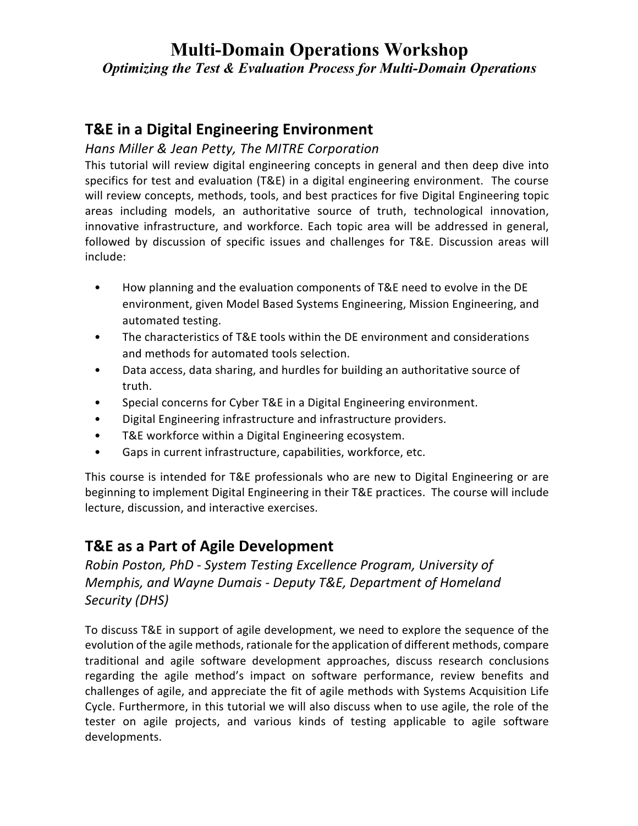## **T&E in a Digital Engineering Environment**

#### *Hans Miller & Jean Petty, The MITRE Corporation*

This tutorial will review digital engineering concepts in general and then deep dive into specifics for test and evaluation (T&E) in a digital engineering environment. The course will review concepts, methods, tools, and best practices for five Digital Engineering topic areas including models, an authoritative source of truth, technological innovation, innovative infrastructure, and workforce. Each topic area will be addressed in general, followed by discussion of specific issues and challenges for T&E. Discussion areas will include:

- How planning and the evaluation components of T&E need to evolve in the DE environment, given Model Based Systems Engineering, Mission Engineering, and automated testing.
- The characteristics of T&E tools within the DE environment and considerations and methods for automated tools selection.
- Data access, data sharing, and hurdles for building an authoritative source of truth.
- Special concerns for Cyber T&E in a Digital Engineering environment.
- Digital Engineering infrastructure and infrastructure providers.
- T&E workforce within a Digital Engineering ecosystem.
- Gaps in current infrastructure, capabilities, workforce, etc.

This course is intended for T&E professionals who are new to Digital Engineering or are beginning to implement Digital Engineering in their T&E practices. The course will include lecture, discussion, and interactive exercises.

### **T&E as a Part of Agile Development**

*Robin Poston, PhD - System Testing Excellence Program, University of Memphis, and Wayne Dumais - Deputy T&E, Department of Homeland Security (DHS)*

To discuss T&E in support of agile development, we need to explore the sequence of the evolution of the agile methods, rationale for the application of different methods, compare traditional and agile software development approaches, discuss research conclusions regarding the agile method's impact on software performance, review benefits and challenges of agile, and appreciate the fit of agile methods with Systems Acquisition Life Cycle. Furthermore, in this tutorial we will also discuss when to use agile, the role of the tester on agile projects, and various kinds of testing applicable to agile software developments.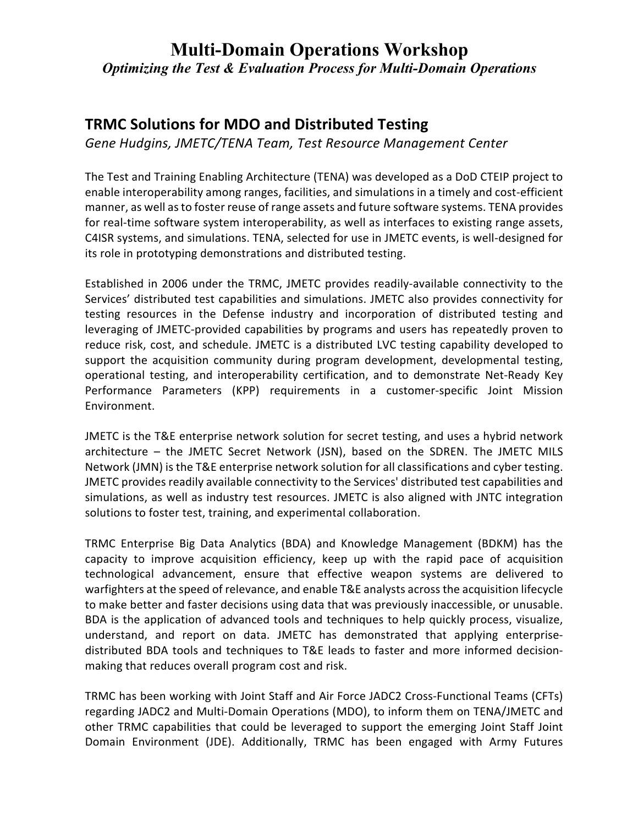## **TRMC Solutions for MDO and Distributed Testing**

*Gene Hudgins, JMETC/TENA Team, Test Resource Management Center*

The Test and Training Enabling Architecture (TENA) was developed as a DoD CTEIP project to enable interoperability among ranges, facilities, and simulations in a timely and cost-efficient manner, as well as to foster reuse of range assets and future software systems. TENA provides for real-time software system interoperability, as well as interfaces to existing range assets, C4ISR systems, and simulations. TENA, selected for use in JMETC events, is well-designed for its role in prototyping demonstrations and distributed testing.

Established in 2006 under the TRMC, JMETC provides readily-available connectivity to the Services' distributed test capabilities and simulations. JMETC also provides connectivity for testing resources in the Defense industry and incorporation of distributed testing and leveraging of JMETC-provided capabilities by programs and users has repeatedly proven to reduce risk, cost, and schedule. JMETC is a distributed LVC testing capability developed to support the acquisition community during program development, developmental testing, operational testing, and interoperability certification, and to demonstrate Net-Ready Key Performance Parameters (KPP) requirements in a customer-specific Joint Mission Environment.

JMETC is the T&E enterprise network solution for secret testing, and uses a hybrid network architecture – the JMETC Secret Network (JSN), based on the SDREN. The JMETC MILS Network (JMN) is the T&E enterprise network solution for all classifications and cyber testing. JMETC provides readily available connectivity to the Services' distributed test capabilities and simulations, as well as industry test resources. JMETC is also aligned with JNTC integration solutions to foster test, training, and experimental collaboration.

TRMC Enterprise Big Data Analytics (BDA) and Knowledge Management (BDKM) has the capacity to improve acquisition efficiency, keep up with the rapid pace of acquisition technological advancement, ensure that effective weapon systems are delivered to warfighters at the speed of relevance, and enable T&E analysts across the acquisition lifecycle to make better and faster decisions using data that was previously inaccessible, or unusable. BDA is the application of advanced tools and techniques to help quickly process, visualize, understand, and report on data. JMETC has demonstrated that applying enterprisedistributed BDA tools and techniques to T&E leads to faster and more informed decisionmaking that reduces overall program cost and risk.

TRMC has been working with Joint Staff and Air Force JADC2 Cross-Functional Teams (CFTs) regarding JADC2 and Multi-Domain Operations (MDO), to inform them on TENA/JMETC and other TRMC capabilities that could be leveraged to support the emerging Joint Staff Joint Domain Environment (JDE). Additionally, TRMC has been engaged with Army Futures